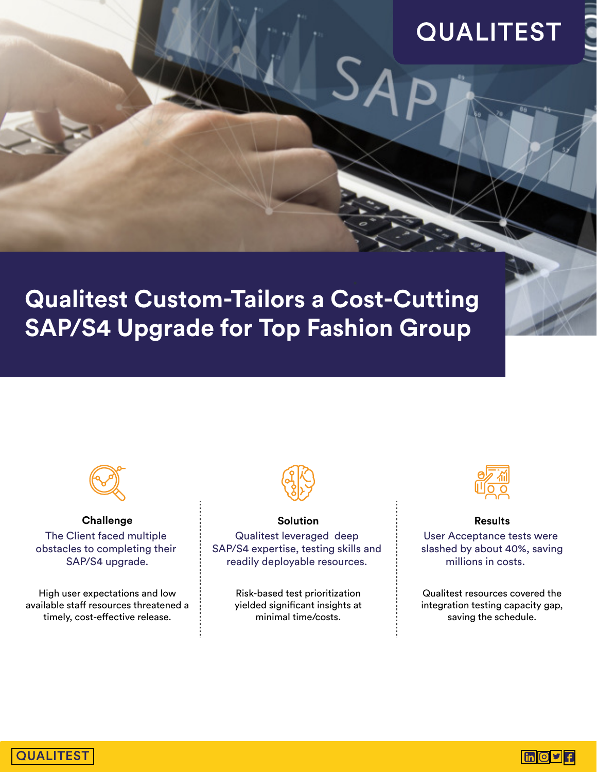# **QUALITEST**



## **Qualitest Custom-Tailors a Cost-Cutting SAP/S4 Upgrade for Top Fashion Group**



**Challenge** The Client faced multiple obstacles to completing their SAP/S4 upgrade.

High user expectations and low available staff resources threatened a timely, cost-effective release.



#### **Solution**  Qualitest leveraged deep SAP/S4 expertise, testing skills and readily deployable resources.

Risk-based test prioritization yielded significant insights at minimal time/costs.



**Results** 

User Acceptance tests were slashed by about 40%, saving millions in costs.

Qualitest resources covered the integration testing capacity gap, saving the schedule.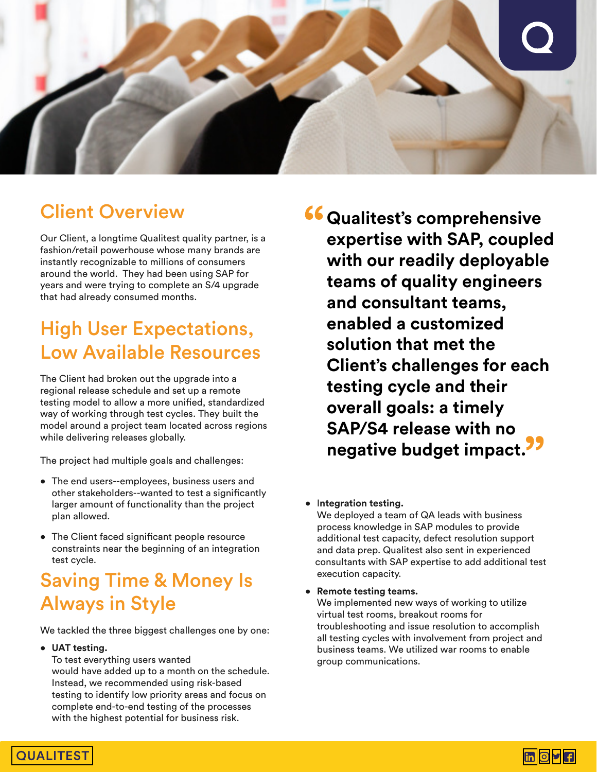

### Client Overview

Our Client, a longtime Qualitest quality partner, is a fashion/retail powerhouse whose many brands are instantly recognizable to millions of consumers around the world. They had been using SAP for years and were trying to complete an S/4 upgrade that had already consumed months.

### High User Expectations, Low Available Resources

The Client had broken out the upgrade into a regional release schedule and set up a remote testing model to allow a more unified, standardized way of working through test cycles. They built the model around a project team located across regions while delivering releases globally.

The project had multiple goals and challenges:

- The end users--employees, business users and other stakeholders--wanted to test a significantly larger amount of functionality than the project plan allowed.
- The Client faced significant people resource constraints near the beginning of an integration test cycle.

## Saving Time & Money Is Always in Style

We tackled the three biggest challenges one by one:

• **UAT testing.** 

 To test everything users wanted would have added up to a month on the schedule. Instead, we recommended using risk-based testing to identify low priority areas and focus on complete end-to-end testing of the processes with the highest potential for business risk.

**Qualitest's comprehensive expertise with SAP, coupled with our readily deployable teams of quality engineers and consultant teams, enabled a customized solution that met the Client's challenges for each testing cycle and their overall goals: a timely SAP/S4 release with no negative budget impact.**

#### • I**ntegration testing.**

 We deployed a team of QA leads with business process knowledge in SAP modules to provide additional test capacity, defect resolution support and data prep. Qualitest also sent in experienced consultants with SAP expertise to add additional test execution capacity.

• **Remote testing teams.** 

 We implemented new ways of working to utilize virtual test rooms, breakout rooms for troubleshooting and issue resolution to accomplish all testing cycles with involvement from project and business teams. We utilized war rooms to enable group communications.